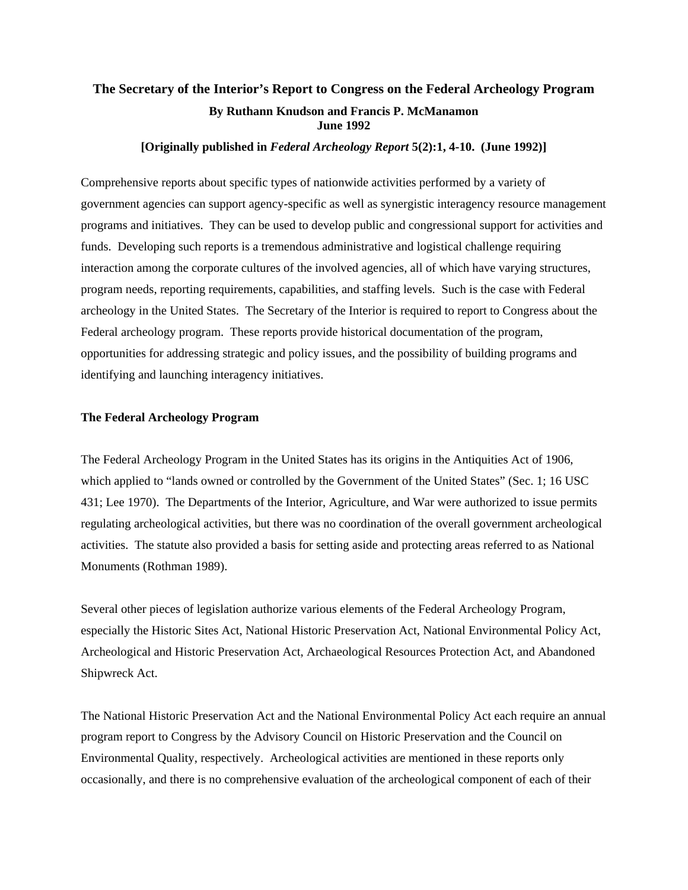# **The Secretary of the Interior's Report to Congress on the Federal Archeology Program By Ruthann Knudson and Francis P. McManamon June 1992**

### **[Originally published in** *Federal Archeology Report* **5(2):1, 4-10. (June 1992)]**

Comprehensive reports about specific types of nationwide activities performed by a variety of government agencies can support agency-specific as well as synergistic interagency resource management programs and initiatives. They can be used to develop public and congressional support for activities and funds. Developing such reports is a tremendous administrative and logistical challenge requiring interaction among the corporate cultures of the involved agencies, all of which have varying structures, program needs, reporting requirements, capabilities, and staffing levels. Such is the case with Federal archeology in the United States. The Secretary of the Interior is required to report to Congress about the Federal archeology program. These reports provide historical documentation of the program, opportunities for addressing strategic and policy issues, and the possibility of building programs and identifying and launching interagency initiatives.

### **The Federal Archeology Program**

The Federal Archeology Program in the United States has its origins in the Antiquities Act of 1906, which applied to "lands owned or controlled by the Government of the United States" (Sec. 1; 16 USC 431; Lee 1970). The Departments of the Interior, Agriculture, and War were authorized to issue permits regulating archeological activities, but there was no coordination of the overall government archeological activities. The statute also provided a basis for setting aside and protecting areas referred to as National Monuments (Rothman 1989).

Several other pieces of legislation authorize various elements of the Federal Archeology Program, especially the Historic Sites Act, National Historic Preservation Act, National Environmental Policy Act, Archeological and Historic Preservation Act, Archaeological Resources Protection Act, and Abandoned Shipwreck Act.

The National Historic Preservation Act and the National Environmental Policy Act each require an annual program report to Congress by the Advisory Council on Historic Preservation and the Council on Environmental Quality, respectively. Archeological activities are mentioned in these reports only occasionally, and there is no comprehensive evaluation of the archeological component of each of their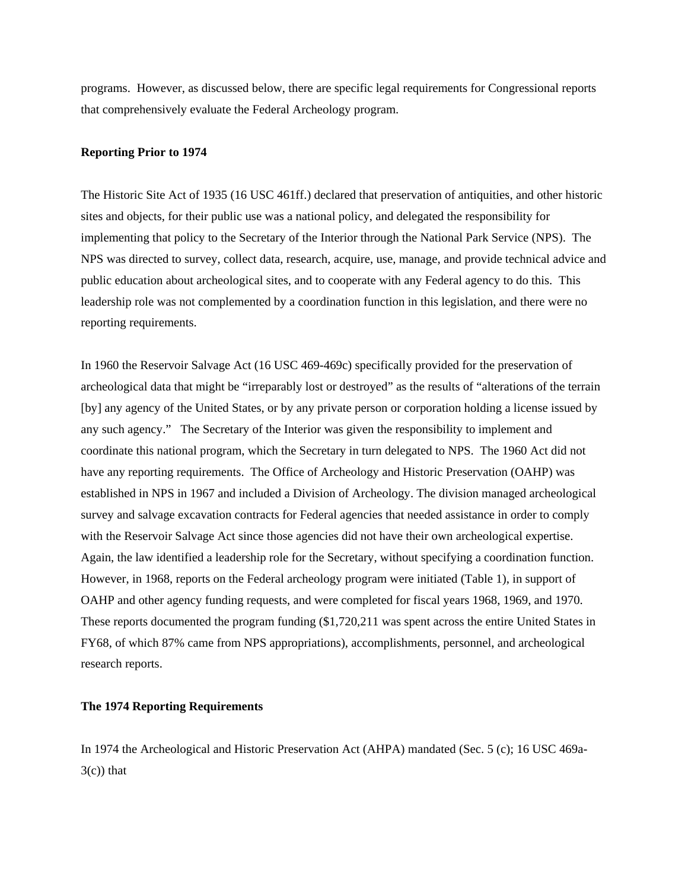programs. However, as discussed below, there are specific legal requirements for Congressional reports that comprehensively evaluate the Federal Archeology program.

## **Reporting Prior to 1974**

The Historic Site Act of 1935 (16 USC 461ff.) declared that preservation of antiquities, and other historic sites and objects, for their public use was a national policy, and delegated the responsibility for implementing that policy to the Secretary of the Interior through the National Park Service (NPS). The NPS was directed to survey, collect data, research, acquire, use, manage, and provide technical advice and public education about archeological sites, and to cooperate with any Federal agency to do this. This leadership role was not complemented by a coordination function in this legislation, and there were no reporting requirements.

In 1960 the Reservoir Salvage Act (16 USC 469-469c) specifically provided for the preservation of archeological data that might be "irreparably lost or destroyed" as the results of "alterations of the terrain [by] any agency of the United States, or by any private person or corporation holding a license issued by any such agency." The Secretary of the Interior was given the responsibility to implement and coordinate this national program, which the Secretary in turn delegated to NPS. The 1960 Act did not have any reporting requirements. The Office of Archeology and Historic Preservation (OAHP) was established in NPS in 1967 and included a Division of Archeology. The division managed archeological survey and salvage excavation contracts for Federal agencies that needed assistance in order to comply with the Reservoir Salvage Act since those agencies did not have their own archeological expertise. Again, the law identified a leadership role for the Secretary, without specifying a coordination function. However, in 1968, reports on the Federal archeology program were initiated (Table 1), in support of OAHP and other agency funding requests, and were completed for fiscal years 1968, 1969, and 1970. These reports documented the program funding (\$1,720,211 was spent across the entire United States in FY68, of which 87% came from NPS appropriations), accomplishments, personnel, and archeological research reports.

#### **The 1974 Reporting Requirements**

In 1974 the Archeological and Historic Preservation Act (AHPA) mandated (Sec. 5 (c); 16 USC 469a- $3(c)$ ) that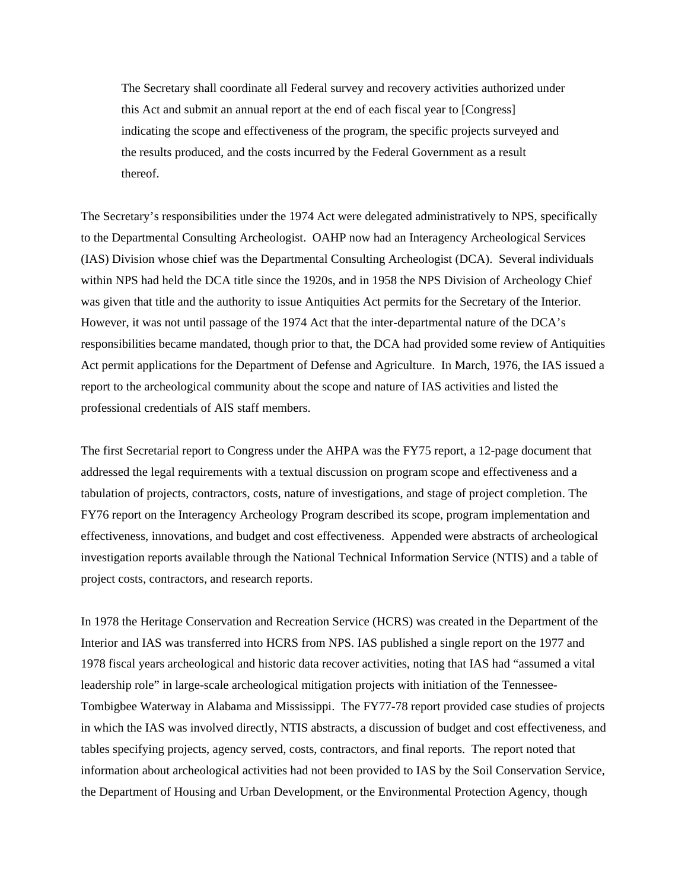The Secretary shall coordinate all Federal survey and recovery activities authorized under this Act and submit an annual report at the end of each fiscal year to [Congress] indicating the scope and effectiveness of the program, the specific projects surveyed and the results produced, and the costs incurred by the Federal Government as a result thereof.

The Secretary's responsibilities under the 1974 Act were delegated administratively to NPS, specifically to the Departmental Consulting Archeologist. OAHP now had an Interagency Archeological Services (IAS) Division whose chief was the Departmental Consulting Archeologist (DCA). Several individuals within NPS had held the DCA title since the 1920s, and in 1958 the NPS Division of Archeology Chief was given that title and the authority to issue Antiquities Act permits for the Secretary of the Interior. However, it was not until passage of the 1974 Act that the inter-departmental nature of the DCA's responsibilities became mandated, though prior to that, the DCA had provided some review of Antiquities Act permit applications for the Department of Defense and Agriculture. In March, 1976, the IAS issued a report to the archeological community about the scope and nature of IAS activities and listed the professional credentials of AIS staff members.

The first Secretarial report to Congress under the AHPA was the FY75 report, a 12-page document that addressed the legal requirements with a textual discussion on program scope and effectiveness and a tabulation of projects, contractors, costs, nature of investigations, and stage of project completion. The FY76 report on the Interagency Archeology Program described its scope, program implementation and effectiveness, innovations, and budget and cost effectiveness. Appended were abstracts of archeological investigation reports available through the National Technical Information Service (NTIS) and a table of project costs, contractors, and research reports.

In 1978 the Heritage Conservation and Recreation Service (HCRS) was created in the Department of the Interior and IAS was transferred into HCRS from NPS. IAS published a single report on the 1977 and 1978 fiscal years archeological and historic data recover activities, noting that IAS had "assumed a vital leadership role" in large-scale archeological mitigation projects with initiation of the Tennessee-Tombigbee Waterway in Alabama and Mississippi. The FY77-78 report provided case studies of projects in which the IAS was involved directly, NTIS abstracts, a discussion of budget and cost effectiveness, and tables specifying projects, agency served, costs, contractors, and final reports. The report noted that information about archeological activities had not been provided to IAS by the Soil Conservation Service, the Department of Housing and Urban Development, or the Environmental Protection Agency, though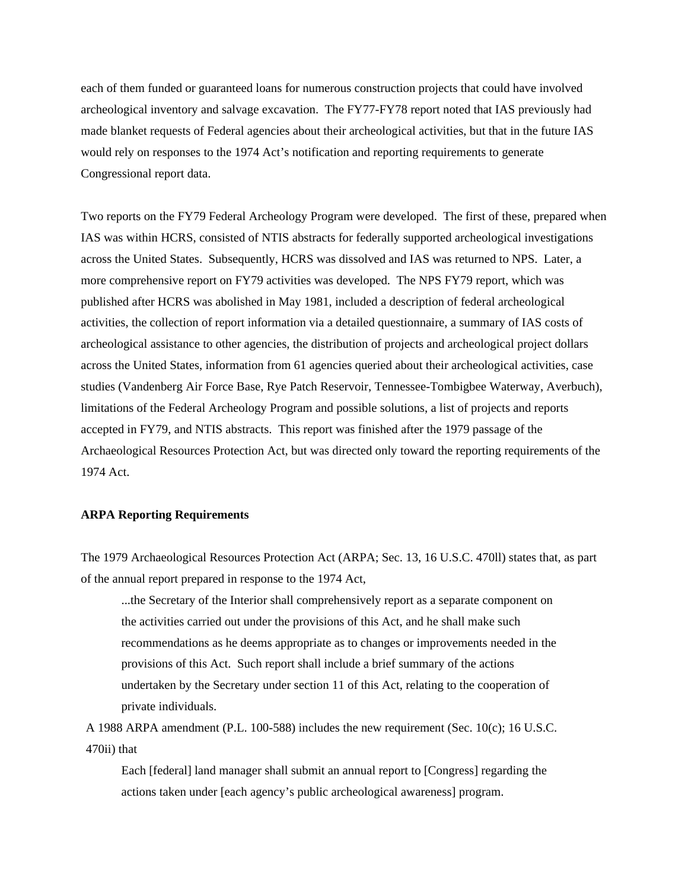each of them funded or guaranteed loans for numerous construction projects that could have involved archeological inventory and salvage excavation. The FY77-FY78 report noted that IAS previously had made blanket requests of Federal agencies about their archeological activities, but that in the future IAS would rely on responses to the 1974 Act's notification and reporting requirements to generate Congressional report data.

Two reports on the FY79 Federal Archeology Program were developed. The first of these, prepared when IAS was within HCRS, consisted of NTIS abstracts for federally supported archeological investigations across the United States. Subsequently, HCRS was dissolved and IAS was returned to NPS. Later, a more comprehensive report on FY79 activities was developed. The NPS FY79 report, which was published after HCRS was abolished in May 1981, included a description of federal archeological activities, the collection of report information via a detailed questionnaire, a summary of IAS costs of archeological assistance to other agencies, the distribution of projects and archeological project dollars across the United States, information from 61 agencies queried about their archeological activities, case studies (Vandenberg Air Force Base, Rye Patch Reservoir, Tennessee-Tombigbee Waterway, Averbuch), limitations of the Federal Archeology Program and possible solutions, a list of projects and reports accepted in FY79, and NTIS abstracts. This report was finished after the 1979 passage of the Archaeological Resources Protection Act, but was directed only toward the reporting requirements of the 1974 Act.

## **ARPA Reporting Requirements**

The 1979 Archaeological Resources Protection Act (ARPA; Sec. 13, 16 U.S.C. 470ll) states that, as part of the annual report prepared in response to the 1974 Act,

...the Secretary of the Interior shall comprehensively report as a separate component on the activities carried out under the provisions of this Act, and he shall make such recommendations as he deems appropriate as to changes or improvements needed in the provisions of this Act. Such report shall include a brief summary of the actions undertaken by the Secretary under section 11 of this Act, relating to the cooperation of private individuals.

A 1988 ARPA amendment (P.L. 100-588) includes the new requirement (Sec. 10(c); 16 U.S.C. 470ii) that

Each [federal] land manager shall submit an annual report to [Congress] regarding the actions taken under [each agency's public archeological awareness] program.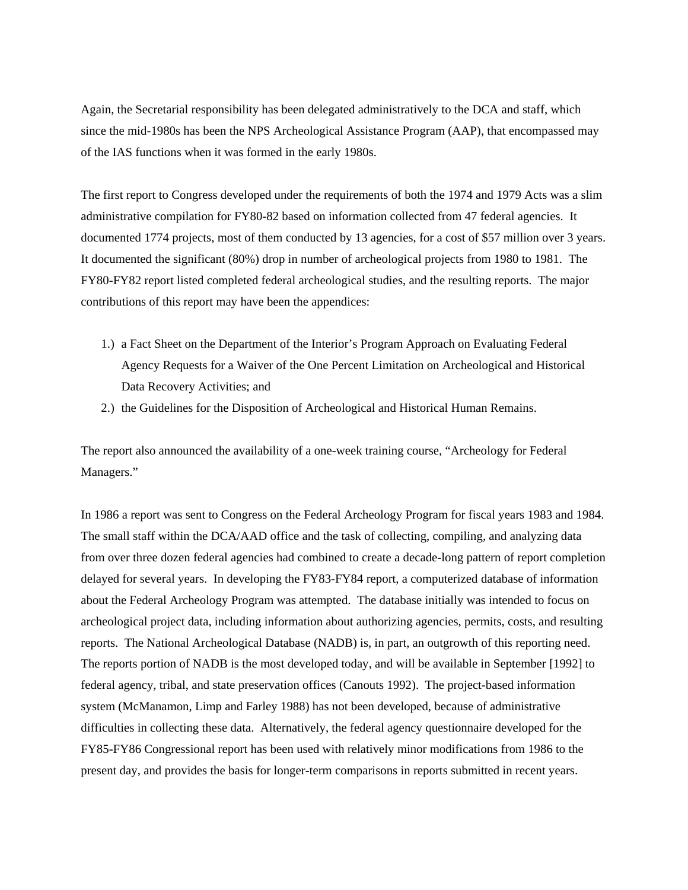Again, the Secretarial responsibility has been delegated administratively to the DCA and staff, which since the mid-1980s has been the NPS Archeological Assistance Program (AAP), that encompassed may of the IAS functions when it was formed in the early 1980s.

The first report to Congress developed under the requirements of both the 1974 and 1979 Acts was a slim administrative compilation for FY80-82 based on information collected from 47 federal agencies. It documented 1774 projects, most of them conducted by 13 agencies, for a cost of \$57 million over 3 years. It documented the significant (80%) drop in number of archeological projects from 1980 to 1981. The FY80-FY82 report listed completed federal archeological studies, and the resulting reports. The major contributions of this report may have been the appendices:

- 1.) a Fact Sheet on the Department of the Interior's Program Approach on Evaluating Federal Agency Requests for a Waiver of the One Percent Limitation on Archeological and Historical Data Recovery Activities; and
- 2.) the Guidelines for the Disposition of Archeological and Historical Human Remains.

The report also announced the availability of a one-week training course, "Archeology for Federal Managers."

In 1986 a report was sent to Congress on the Federal Archeology Program for fiscal years 1983 and 1984. The small staff within the DCA/AAD office and the task of collecting, compiling, and analyzing data from over three dozen federal agencies had combined to create a decade-long pattern of report completion delayed for several years. In developing the FY83-FY84 report, a computerized database of information about the Federal Archeology Program was attempted. The database initially was intended to focus on archeological project data, including information about authorizing agencies, permits, costs, and resulting reports. The National Archeological Database (NADB) is, in part, an outgrowth of this reporting need. The reports portion of NADB is the most developed today, and will be available in September [1992] to federal agency, tribal, and state preservation offices (Canouts 1992). The project-based information system (McManamon, Limp and Farley 1988) has not been developed, because of administrative difficulties in collecting these data. Alternatively, the federal agency questionnaire developed for the FY85-FY86 Congressional report has been used with relatively minor modifications from 1986 to the present day, and provides the basis for longer-term comparisons in reports submitted in recent years.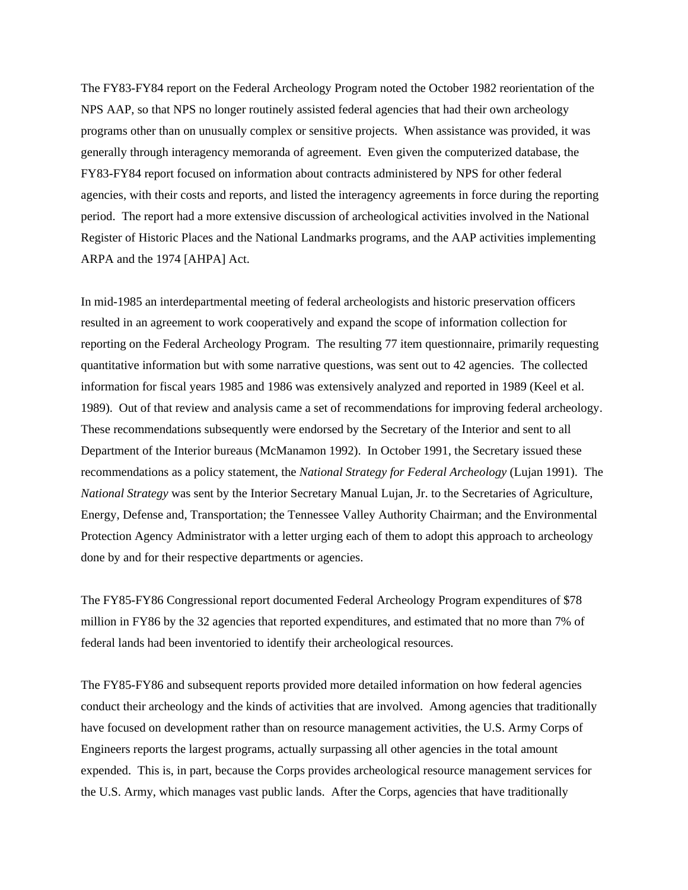The FY83-FY84 report on the Federal Archeology Program noted the October 1982 reorientation of the NPS AAP, so that NPS no longer routinely assisted federal agencies that had their own archeology programs other than on unusually complex or sensitive projects. When assistance was provided, it was generally through interagency memoranda of agreement. Even given the computerized database, the FY83-FY84 report focused on information about contracts administered by NPS for other federal agencies, with their costs and reports, and listed the interagency agreements in force during the reporting period. The report had a more extensive discussion of archeological activities involved in the National Register of Historic Places and the National Landmarks programs, and the AAP activities implementing ARPA and the 1974 [AHPA] Act.

In mid-1985 an interdepartmental meeting of federal archeologists and historic preservation officers resulted in an agreement to work cooperatively and expand the scope of information collection for reporting on the Federal Archeology Program. The resulting 77 item questionnaire, primarily requesting quantitative information but with some narrative questions, was sent out to 42 agencies. The collected information for fiscal years 1985 and 1986 was extensively analyzed and reported in 1989 (Keel et al. 1989). Out of that review and analysis came a set of recommendations for improving federal archeology. These recommendations subsequently were endorsed by the Secretary of the Interior and sent to all Department of the Interior bureaus (McManamon 1992). In October 1991, the Secretary issued these recommendations as a policy statement, the *National Strategy for Federal Archeology* (Lujan 1991). The *National Strategy* was sent by the Interior Secretary Manual Lujan, Jr. to the Secretaries of Agriculture, Energy, Defense and, Transportation; the Tennessee Valley Authority Chairman; and the Environmental Protection Agency Administrator with a letter urging each of them to adopt this approach to archeology done by and for their respective departments or agencies.

The FY85-FY86 Congressional report documented Federal Archeology Program expenditures of \$78 million in FY86 by the 32 agencies that reported expenditures, and estimated that no more than 7% of federal lands had been inventoried to identify their archeological resources.

The FY85-FY86 and subsequent reports provided more detailed information on how federal agencies conduct their archeology and the kinds of activities that are involved. Among agencies that traditionally have focused on development rather than on resource management activities, the U.S. Army Corps of Engineers reports the largest programs, actually surpassing all other agencies in the total amount expended. This is, in part, because the Corps provides archeological resource management services for the U.S. Army, which manages vast public lands. After the Corps, agencies that have traditionally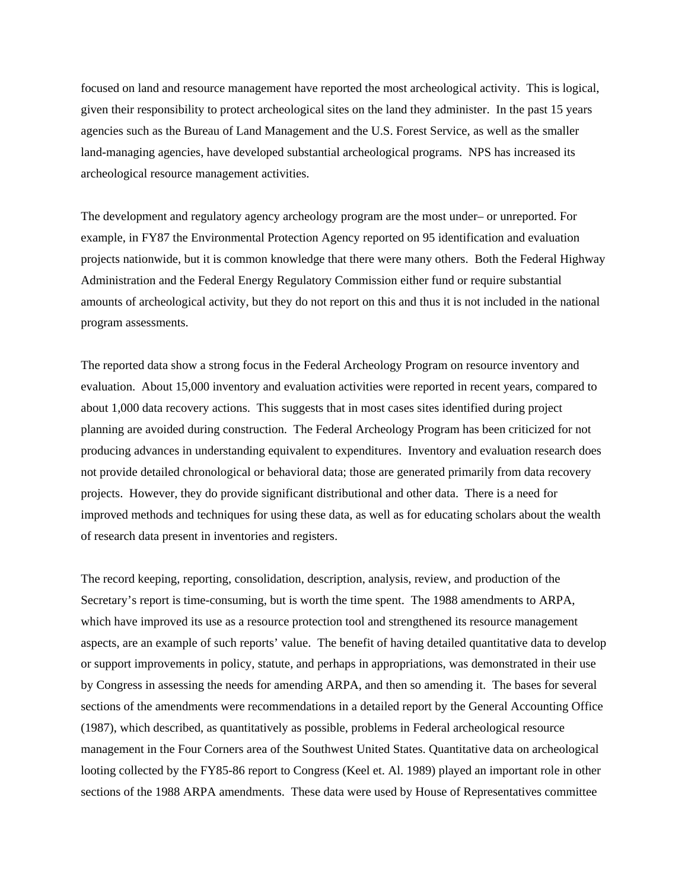focused on land and resource management have reported the most archeological activity. This is logical, given their responsibility to protect archeological sites on the land they administer. In the past 15 years agencies such as the Bureau of Land Management and the U.S. Forest Service, as well as the smaller land-managing agencies, have developed substantial archeological programs. NPS has increased its archeological resource management activities.

The development and regulatory agency archeology program are the most under– or unreported. For example, in FY87 the Environmental Protection Agency reported on 95 identification and evaluation projects nationwide, but it is common knowledge that there were many others. Both the Federal Highway Administration and the Federal Energy Regulatory Commission either fund or require substantial amounts of archeological activity, but they do not report on this and thus it is not included in the national program assessments.

The reported data show a strong focus in the Federal Archeology Program on resource inventory and evaluation. About 15,000 inventory and evaluation activities were reported in recent years, compared to about 1,000 data recovery actions. This suggests that in most cases sites identified during project planning are avoided during construction. The Federal Archeology Program has been criticized for not producing advances in understanding equivalent to expenditures. Inventory and evaluation research does not provide detailed chronological or behavioral data; those are generated primarily from data recovery projects. However, they do provide significant distributional and other data. There is a need for improved methods and techniques for using these data, as well as for educating scholars about the wealth of research data present in inventories and registers.

The record keeping, reporting, consolidation, description, analysis, review, and production of the Secretary's report is time-consuming, but is worth the time spent. The 1988 amendments to ARPA, which have improved its use as a resource protection tool and strengthened its resource management aspects, are an example of such reports' value. The benefit of having detailed quantitative data to develop or support improvements in policy, statute, and perhaps in appropriations, was demonstrated in their use by Congress in assessing the needs for amending ARPA, and then so amending it. The bases for several sections of the amendments were recommendations in a detailed report by the General Accounting Office (1987), which described, as quantitatively as possible, problems in Federal archeological resource management in the Four Corners area of the Southwest United States. Quantitative data on archeological looting collected by the FY85-86 report to Congress (Keel et. Al. 1989) played an important role in other sections of the 1988 ARPA amendments. These data were used by House of Representatives committee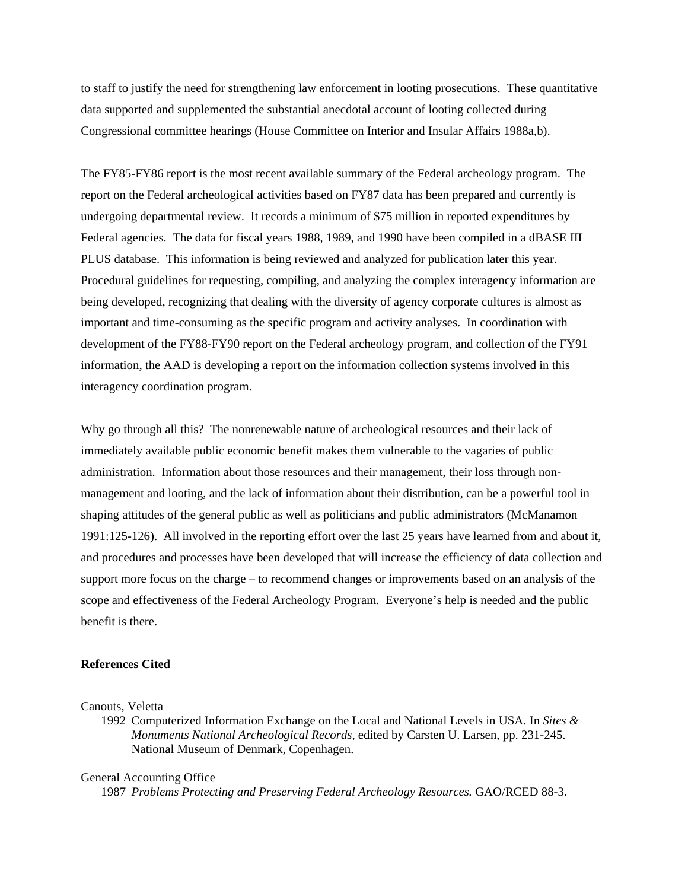to staff to justify the need for strengthening law enforcement in looting prosecutions. These quantitative data supported and supplemented the substantial anecdotal account of looting collected during Congressional committee hearings (House Committee on Interior and Insular Affairs 1988a,b).

The FY85-FY86 report is the most recent available summary of the Federal archeology program. The report on the Federal archeological activities based on FY87 data has been prepared and currently is undergoing departmental review. It records a minimum of \$75 million in reported expenditures by Federal agencies. The data for fiscal years 1988, 1989, and 1990 have been compiled in a dBASE III PLUS database. This information is being reviewed and analyzed for publication later this year. Procedural guidelines for requesting, compiling, and analyzing the complex interagency information are being developed, recognizing that dealing with the diversity of agency corporate cultures is almost as important and time-consuming as the specific program and activity analyses. In coordination with development of the FY88-FY90 report on the Federal archeology program, and collection of the FY91 information, the AAD is developing a report on the information collection systems involved in this interagency coordination program.

Why go through all this? The nonrenewable nature of archeological resources and their lack of immediately available public economic benefit makes them vulnerable to the vagaries of public administration. Information about those resources and their management, their loss through nonmanagement and looting, and the lack of information about their distribution, can be a powerful tool in shaping attitudes of the general public as well as politicians and public administrators (McManamon 1991:125-126). All involved in the reporting effort over the last 25 years have learned from and about it, and procedures and processes have been developed that will increase the efficiency of data collection and support more focus on the charge – to recommend changes or improvements based on an analysis of the scope and effectiveness of the Federal Archeology Program. Everyone's help is needed and the public benefit is there.

## **References Cited**

#### Canouts, Veletta

1992 Computerized Information Exchange on the Local and National Levels in USA. In *Sites & Monuments National Archeological Records,* edited by Carsten U. Larsen, pp. 231-245. National Museum of Denmark, Copenhagen.

## General Accounting Office

1987 *Problems Protecting and Preserving Federal Archeology Resources.* GAO/RCED 88-3.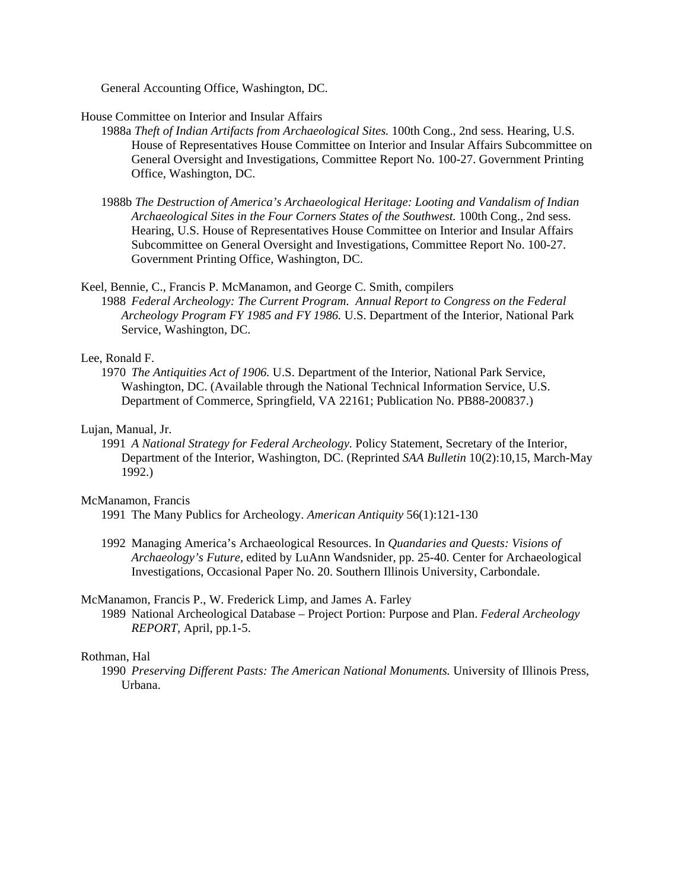General Accounting Office, Washington, DC.

## House Committee on Interior and Insular Affairs

- 1988a *Theft of Indian Artifacts from Archaeological Sites.* 100th Cong., 2nd sess. Hearing, U.S. House of Representatives House Committee on Interior and Insular Affairs Subcommittee on General Oversight and Investigations, Committee Report No. 100-27. Government Printing Office, Washington, DC.
- 1988b *The Destruction of America's Archaeological Heritage: Looting and Vandalism of Indian Archaeological Sites in the Four Corners States of the Southwest.* 100th Cong., 2nd sess. Hearing, U.S. House of Representatives House Committee on Interior and Insular Affairs Subcommittee on General Oversight and Investigations, Committee Report No. 100-27. Government Printing Office, Washington, DC.

#### Keel, Bennie, C., Francis P. McManamon, and George C. Smith, compilers

1988 *Federal Archeology: The Current Program. Annual Report to Congress on the Federal Archeology Program FY 1985 and FY 1986.* U.S. Department of the Interior, National Park Service, Washington, DC.

# Lee, Ronald F.

1970 *The Antiquities Act of 1906.* U.S. Department of the Interior, National Park Service, Washington, DC. (Available through the National Technical Information Service, U.S. Department of Commerce, Springfield, VA 22161; Publication No. PB88-200837.)

#### Lujan, Manual, Jr.

1991 *A National Strategy for Federal Archeology.* Policy Statement, Secretary of the Interior, Department of the Interior, Washington, DC. (Reprinted *SAA Bulletin* 10(2):10,15, March-May 1992.)

#### McManamon, Francis

- 1991 The Many Publics for Archeology. *American Antiquity* 56(1):121-130
- 1992 Managing America's Archaeological Resources. In *Quandaries and Quests: Visions of Archaeology's Future,* edited by LuAnn Wandsnider, pp. 25-40. Center for Archaeological Investigations, Occasional Paper No. 20. Southern Illinois University, Carbondale.

# McManamon, Francis P., W. Frederick Limp, and James A. Farley

1989 National Archeological Database – Project Portion: Purpose and Plan. *Federal Archeology REPORT,* April, pp.1-5.

## Rothman, Hal

1990 *Preserving Different Pasts: The American National Monuments.* University of Illinois Press, Urbana.